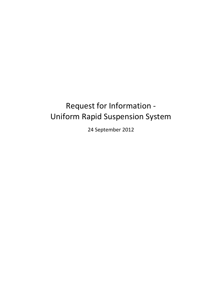# Request for Information - Uniform Rapid Suspension System

24 September 2012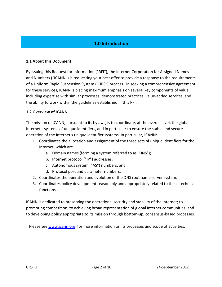# **1.0 Introduction**

### **1.1 About this Document**

By issuing this Request for Information ("RFI"), the Internet Corporation for Assigned Names and Numbers ("ICANN") is requesting your best offer to provide a response to the requirements of a Uniform Rapid Suspension System ("URS") process. In seeking a comprehensive agreement for these services, ICANN is placing maximum emphasis on several key components of value including expertise with similar processes, demonstrated practices, value-added services, and the ability to work within the guidelines established in this RFI.

### **1.2 Overview of ICANN**

The mission of ICANN, pursuant to its bylaws, is to coordinate, at the overall level, the global Internet's systems of unique identifiers, and in particular to ensure the stable and secure operation of the Internet's unique identifier systems. In particular, ICANN:

- 1. Coordinates the allocation and assignment of the three sets of unique identifiers for the Internet, which are
	- a. Domain names (forming a system referred to as "DNS");
	- b. Internet protocol ("IP") addresses;
	- c. Autonomous system ("AS") numbers; and
	- d. Protocol port and parameter numbers.
- 2. Coordinates the operation and evolution of the DNS root name server system.
- 3. Coordinates policy development reasonably and appropriately related to these technical functions.

ICANN is dedicated to preserving the operational security and stability of the Internet; to promoting competition; to achieving broad representation of global Internet communities; and to developing policy appropriate to its mission through bottom-up, consensus-based processes.

Please see [www.icann.org](http://www.icann.org/) for more information on its processes and scope of activities.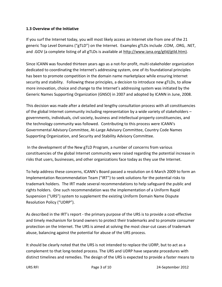## **1.3 Overview of the Initiative**

If you surf the Internet today, you will most likely access an Internet site from one of the 21 generic Top Level Domains ("gTLD") on the Internet. Examples gTLDs include .COM, .ORG, .NET, and .GOV (a complete listing of all gTLDs is available at http://www.iana.org/gtld/gtld.htm).

Since ICANN was founded thirteen years ago as a not-for-profit, multi-stakeholder organization dedicated to coordinating the Internet's addressing system, one of its foundational principles has been to promote competition in the domain name marketplace while ensuring Internet security and stability. Following these principles, a decision to introduce new gTLDs, to allow more innovation, choice and change to the Internet's addressing system was initiated by the Generic Names Supporting Organization (GNSO) in 2007 and adopted by ICANN in June, 2008.

This decision was made after a detailed and lengthy consultation process with all constituencies of the global Internet community including representation by a wide variety of stakeholders – governments, individuals, civil society, business and intellectual property constituencies, and the technology community was followed. Contributing to this process were ICANN's Governmental Advisory Committee, At-Large Advisory Committee, Country Code Names Supporting Organization, and Security and Stability Advisory Committee.

In the development of the New gTLD Program, a number of concerns from various constituencies of the global Internet community were raised regarding the potential increase in risks that users, businesses, and other organizations face today as they use the Internet.

To help address these concerns, ICANN's Board passed a resolution on 6 March 2009 to form an Implementation Recommendation Team ("IRT") to seek solutions for the potential risks to trademark holders. The IRT made several recommendations to help safeguard the public and rights holders. One such recommendation was the implementation of a Uniform Rapid Suspension ("URS") system to supplement the existing Uniform Domain Name Dispute Resolution Policy ("UDRP").

As described in the IRT's report - the primary purpose of the URS is to provide a cost-effective and timely mechanism for brand owners to protect their trademarks and to promote consumer protection on the Internet. The URS is aimed at solving the most clear-cut cases of trademark abuse, balancing against the potential for abuse of the URS process.

It should be clearly noted that the URS is not intended to replace the UDRP, but to act as a complement to that long-tested process. The URS and UDRP have separate procedures with distinct timelines and remedies. The design of the URS is expected to provide a faster means to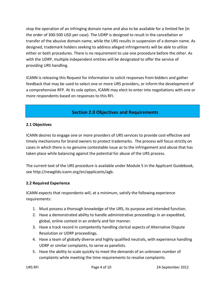stop the operation of an infringing domain name and also to be available for a limited fee (in the order of 300-500 USD per case). The UDRP is designed to result in the cancellation or transfer of the abusive domain name, while the URS results in suspension of a domain name. As designed, trademark holders seeking to address alleged infringements will be able to utilize either or both procedures. There is no requirement to use one procedure before the other. As with the UDRP, multiple independent entities will be designated to offer the service of providing URS handling.

ICANN is releasing this Request for Information to solicit responses from bidders and gather feedback that may be used to select one or more URS providers, or inform the development of a comprehensive RFP. At its sole option, ICANN may elect to enter into negotiations with one or more respondents based on responses to this RFI.

# **Section 2.0 Objectives and Requirements**

# **2.1 Objectives**

ICANN desires to engage one or more providers of URS services to provide cost-effective and timely mechanisms for brand owners to protect trademarks. The process will focus strictly on cases in which there is no genuine contestable issue as to the infringement and abuse that has taken place while balancing against the potential for abuse of the URS process.

The current text of the URS procedure is available under Module 5 in the Applicant Guidebook, see http://newgtlds.icann.org/en/applicants/agb.

# **2.2 Required Experience**

ICANN expects that respondents will, at a minimum, satisfy the following experience requirements:

- 1. Must possess a thorough knowledge of the URS, its purpose and intended function.
- 2. Have a demonstrated ability to handle administrative proceedings in an expedited, global, online context in an orderly and fair manner.
- 3. Have a track record in competently handling clerical aspects of Alternative Dispute Resolution or UDRP proceedings.
- 4. Have a team of globally diverse and highly qualified neutrals, with experience handling UDRP or similar complaints, to serve as panelists.
- 5. Have the ability to scale quickly to meet the demands of an unknown number of complaints while meeting the time requirements to resolve complaints.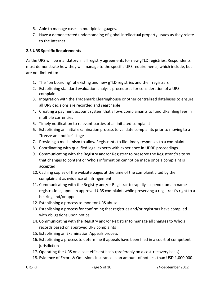- 6. Able to manage cases in multiple languages.
- 7. Have a demonstrated understanding of global intellectual property issues as they relate to the Internet.

## **2.3 URS Specific Requirements**

As the URS will be mandatory in all registry agreements for new gTLD registries, Respondents must demonstrate how they will manage to the specific URS requirements, which include, but are not limited to:

- 1. The "on boarding" of existing and new gTLD registries and their registrars
- 2. Establishing standard evaluation analysis procedures for consideration of a URS complaint
- 3. Integration with the Trademark Clearinghouse or other centralized databases to ensure all URS decisions are recorded and searchable
- 4. Creating a payment account system that allows complainants to fund URS filing fees in multiple currencies
- 5. Timely notification to relevant parties of an initiated complaint
- 6. Establishing an initial examination process to validate complaints prior to moving to a "freeze and notice" stage
- 7. Providing a mechanism to allow Registrants to file timely responses to a complaint
- 8. Coordinating with qualified legal experts with experience in UDRP proceedings
- 9. Communicating with the Registry and/or Registrar to preserve the Registrant's site so that changes to content or Whois information cannot be made once a complaint is accepted
- 10. Caching copies of the website pages at the time of the complaint cited by the complainant as evidence of infringement
- 11. Communicating with the Registry and/or Registrar to rapidly suspend domain name registrations, upon an approved URS complaint, while preserving a registrant's right to a hearing and/or appeal
- 12. Establishing a process to monitor URS abuse
- 13. Establishing a process for confirming that registries and/or registrars have complied with obligations upon notice
- 14. Communicating with the Registry and/or Registrar to manage all changes to Whois records based on approved URS complaints
- 15. Establishing an Examination Appeals process
- 16. Establishing a process to determine if appeals have been filed in a court of competent iurisdiction
- 17. Operating the URS on a cost efficient basis (preferably on a cost-recovery basis)
- 18. Evidence of Errors & Omissions Insurance in an amount of not less than USD 1,000,000.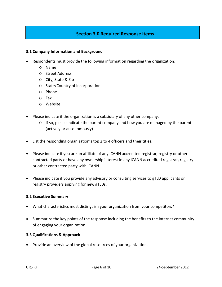# **Section 3.0 Required Response Items**

### **3.1 Company Information and Background**

- Respondents must provide the following information regarding the organization:
	- o Name
	- o Street Address
	- o City, State & Zip
	- o State/Country of Incorporation
	- o Phone
	- o Fax
	- o Website
- Please indicate if the organization is a subsidiary of any other company.
	- $\circ$  If so, please indicate the parent company and how you are managed by the parent (actively or autonomously)
- List the responding organization's top 2 to 4 officers and their titles.
- Please indicate if you are an affiliate of any ICANN accredited registrar, registry or other contracted party or have any ownership interest in any ICANN accredited registrar, registry or other contracted party with ICANN.
- Please indicate if you provide any advisory or consulting services to gTLD applicants or registry providers applying for new gTLDs.

#### **3.2 Executive Summary**

- What characteristics most distinguish your organization from your competitors?
- Summarize the key points of the response including the benefits to the internet community of engaging your organization

#### **3.3 Qualifications & Approach**

• Provide an overview of the global resources of your organization.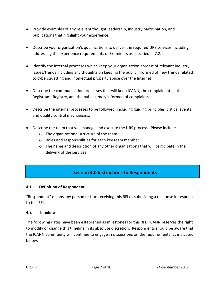- Provide examples of any relevant thought leadership, industry participation, and publications that highlight your experience.
- Describe your organization's qualifications to deliver the required URS services including addressing the experience requirements of Examiners as specified in 7.2.
- Identify the internal processes which keep your organization abreast of relevant industry issues/trends including any thoughts on keeping the public informed of new trends related to cybersquatting and intellectual property abuse over the Internet.
- Describe the communication processes that will keep ICANN, the complainant(s), the Registrant, Registry, and the public timely informed of complaints.
- Describe the internal processes to be followed, including guiding principles, critical events, and quality control mechanisms.
- Describe the team that will manage and execute the URS process. Please include
	- o The organizational structure of the team
	- o Roles and responsibilities for each key team member
	- $\circ$  The name and description of any other organizations that will participate in the delivery of the services

# **Section 4.0 Instructions to Respondents**

## **4.1 Definition of Respondent**

"Respondent" means any person or firm receiving this RFI or submitting a response in response to this RFI.

## **4.2 Timeline**

The following dates have been established as milestones for this RFI. ICANN reserves the right to modify or change this timeline in its absolute discretion. Respondents should be aware that the ICANN community will continue to engage in discussions on the requirements, as indicated below.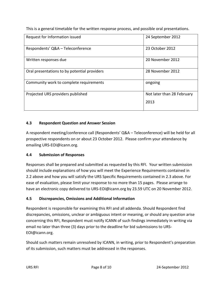This is a general timetable for the written response process, and possible oral presentations.

| Request for Information issued               | 24 September 2012          |
|----------------------------------------------|----------------------------|
| Respondents' Q&A - Teleconference            | 23 October 2012            |
| Written responses due                        | 20 November 2012           |
| Oral presentations to by potential providers | 28 November 2012           |
| Community work to complete requirements      | ongoing                    |
| Projected URS providers published            | Not later than 28 February |
|                                              | 2013                       |

# **4.3 Respondent Question and Answer Session**

A respondent meeting/conference call (Respondents' Q&A – Teleconference) will be held for all prospective respondents on or about 23 October 2012. Please confirm your attendance by emailing URS-EOI@icann.org.

# **4.4 Submission of Responses**

Responses shall be prepared and submitted as requested by this RFI. Your written submission should include explanations of how you will meet the Experience Requirements contained in 2.2 above and how you will satisfy the URS Specific Requirements contained in 2.3 above. For ease of evaluation, please limit your response to no more than 15 pages. Please arrange to have an electronic copy delivered to URS-EOI@icann.org by 23.59 UTC on 20 November 2012.

# **4.5 Discrepancies, Omissions and Additional Information**

Respondent is responsible for examining this RFI and all addenda. Should Respondent find discrepancies, omissions, unclear or ambiguous intent or meaning, or should any question arise concerning this RFI, Respondent must notify ICANN of such findings immediately in writing via email no later than three (3) days prior to the deadline for bid submissions to URS-EOI@icann.org.

Should such matters remain unresolved by ICANN, in writing, prior to Respondent's preparation of its submission, such matters must be addressed in the responses.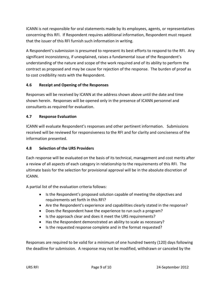ICANN is not responsible for oral statements made by its employees, agents, or representatives concerning this RFI. If Respondent requires additional information, Respondent must request that the issuer of this RFI furnish such information in writing.

A Respondent's submission is presumed to represent its best efforts to respond to the RFI. Any significant inconsistency, if unexplained, raises a fundamental issue of the Respondent's understanding of the nature and scope of the work required and of its ability to perform the contract as proposed and may be cause for rejection of the response. The burden of proof as to cost credibility rests with the Respondent.

## **4.6 Receipt and Opening of the Responses**

Responses will be received by ICANN at the address shown above until the date and time shown herein. Responses will be opened only in the presence of ICANN personnel and consultants as required for evaluation.

## **4.7 Response Evaluation**

ICANN will evaluate Respondent's responses and other pertinent information. Submissions received will be reviewed for responsiveness to the RFI and for clarity and conciseness of the information presented.

## **4.8 Selection of the URS Providers**

Each response will be evaluated on the basis of its technical, management and cost merits after a review of all aspects of each category in relationship to the requirements of this RFI. The ultimate basis for the selection for provisional approval will be in the absolute discretion of ICANN.

A partial list of the evaluation criteria follows:

- Is the Respondent's proposed solution capable of meeting the objectives and requirements set forth in this RFI?
- Are the Respondent's experience and capabilities clearly stated in the response?
- Does the Respondent have the experience to run such a program?
- Is the approach clear and does it meet the URS requirements?
- Has the Respondent demonstrated an ability to scale as necessary?
- Is the requested response complete and in the format requested?

Responses are required to be valid for a minimum of one hundred twenty (120) days following the deadline for submission. A response may not be modified, withdrawn or canceled by the